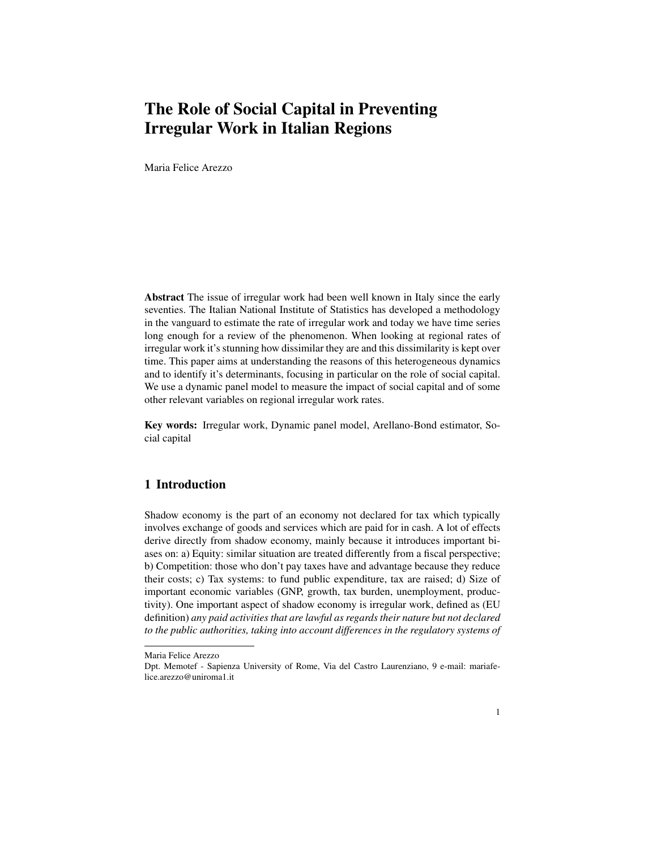# The Role of Social Capital in Preventing Irregular Work in Italian Regions

Maria Felice Arezzo

Abstract The issue of irregular work had been well known in Italy since the early seventies. The Italian National Institute of Statistics has developed a methodology in the vanguard to estimate the rate of irregular work and today we have time series long enough for a review of the phenomenon. When looking at regional rates of irregular work it's stunning how dissimilar they are and this dissimilarity is kept over time. This paper aims at understanding the reasons of this heterogeneous dynamics and to identify it's determinants, focusing in particular on the role of social capital. We use a dynamic panel model to measure the impact of social capital and of some other relevant variables on regional irregular work rates.

Key words: Irregular work, Dynamic panel model, Arellano-Bond estimator, Social capital

## 1 Introduction

Shadow economy is the part of an economy not declared for tax which typically involves exchange of goods and services which are paid for in cash. A lot of effects derive directly from shadow economy, mainly because it introduces important biases on: a) Equity: similar situation are treated differently from a fiscal perspective; b) Competition: those who don't pay taxes have and advantage because they reduce their costs; c) Tax systems: to fund public expenditure, tax are raised; d) Size of important economic variables (GNP, growth, tax burden, unemployment, productivity). One important aspect of shadow economy is irregular work, defined as (EU definition) *any paid activities that are lawful as regards their nature but not declared to the public authorities, taking into account differences in the regulatory systems of*

Maria Felice Arezzo

Dpt. Memotef - Sapienza University of Rome, Via del Castro Laurenziano, 9 e-mail: mariafelice.arezzo@uniroma1.it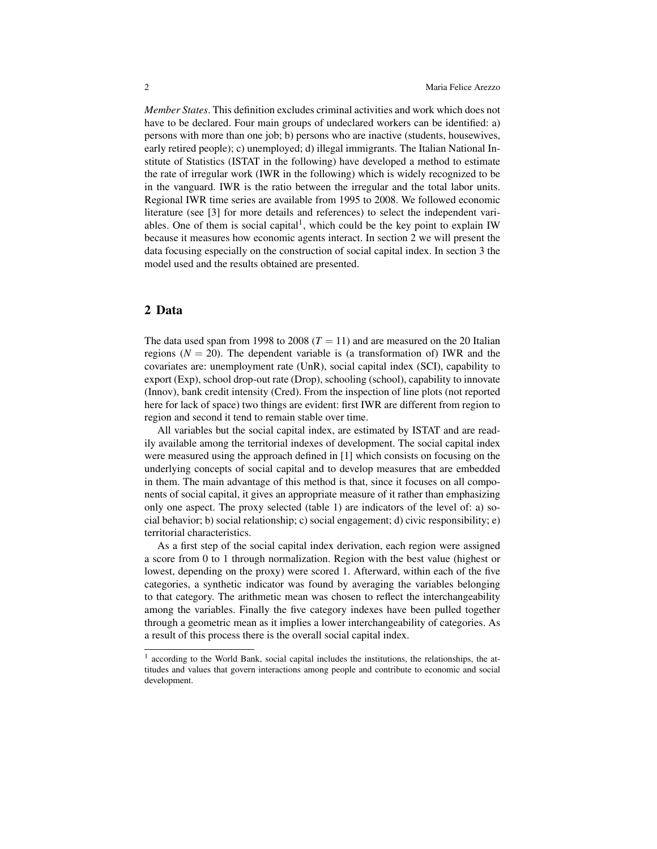*Member States*. This definition excludes criminal activities and work which does not have to be declared. Four main groups of undeclared workers can be identified: a) persons with more than one job; b) persons who are inactive (students, housewives, early retired people); c) unemployed; d) illegal immigrants. The Italian National Institute of Statistics (ISTAT in the following) have developed a method to estimate the rate of irregular work (IWR in the following) which is widely recognized to be in the vanguard. IWR is the ratio between the irregular and the total labor units. Regional IWR time series are available from 1995 to 2008. We followed economic literature (see [3] for more details and references) to select the independent variables. One of them is social capital<sup>1</sup>, which could be the key point to explain IW because it measures how economic agents interact. In section 2 we will present the data focusing especially on the construction of social capital index. In section 3 the model used and the results obtained are presented.

### 2 Data

The data used span from 1998 to 2008 ( $T = 11$ ) and are measured on the 20 Italian regions  $(N = 20)$ . The dependent variable is (a transformation of) IWR and the covariates are: unemployment rate (UnR), social capital index (SCI), capability to export (Exp), school drop-out rate (Drop), schooling (school), capability to innovate (Innov), bank credit intensity (Cred). From the inspection of line plots (not reported here for lack of space) two things are evident: first IWR are different from region to region and second it tend to remain stable over time.

All variables but the social capital index, are estimated by ISTAT and are readily available among the territorial indexes of development. The social capital index were measured using the approach defined in [1] which consists on focusing on the underlying concepts of social capital and to develop measures that are embedded in them. The main advantage of this method is that, since it focuses on all components of social capital, it gives an appropriate measure of it rather than emphasizing only one aspect. The proxy selected (table 1) are indicators of the level of: a) social behavior; b) social relationship; c) social engagement; d) civic responsibility; e) territorial characteristics.

As a first step of the social capital index derivation, each region were assigned a score from 0 to 1 through normalization. Region with the best value (highest or lowest, depending on the proxy) were scored 1. Afterward, within each of the five categories, a synthetic indicator was found by averaging the variables belonging to that category. The arithmetic mean was chosen to reflect the interchangeability among the variables. Finally the five category indexes have been pulled together through a geometric mean as it implies a lower interchangeability of categories. As a result of this process there is the overall social capital index.

<sup>&</sup>lt;sup>1</sup> according to the World Bank, social capital includes the institutions, the relationships, the attitudes and values that govern interactions among people and contribute to economic and social development.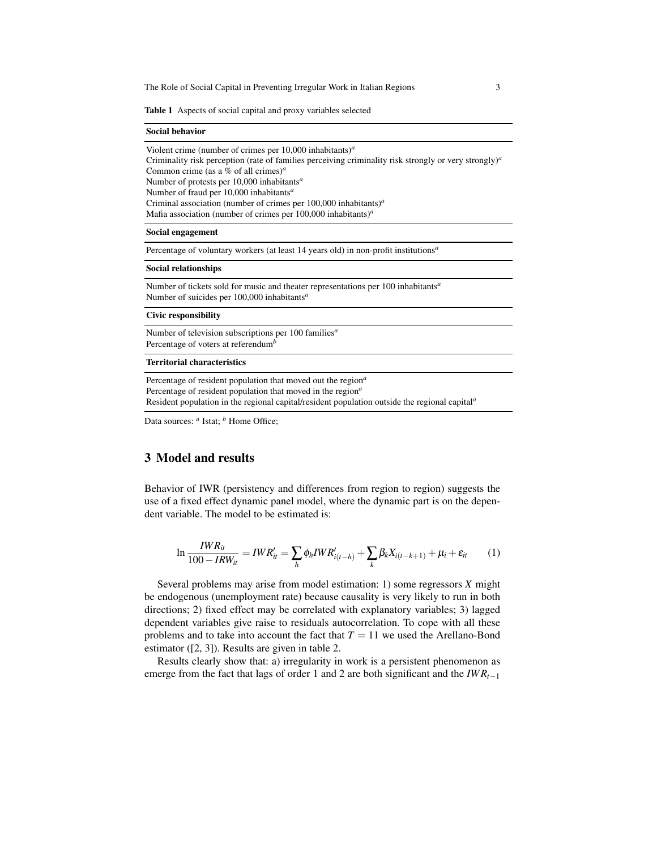Table 1 Aspects of social capital and proxy variables selected

#### Social behavior

Violent crime (number of crimes per 10,000 inhabitants)*<sup>a</sup>* Criminality risk perception (rate of families perceiving criminality risk strongly or very strongly)*<sup>a</sup>* Common crime (as a % of all crimes)*<sup>a</sup>* Number of protests per 10,000 inhabitants*<sup>a</sup>* Number of fraud per 10,000 inhabitants*<sup>a</sup>* Criminal association (number of crimes per 100,000 inhabitants)*<sup>a</sup>* Mafia association (number of crimes per 100,000 inhabitants)*<sup>a</sup>*

### Social engagement

Percentage of voluntary workers (at least 14 years old) in non-profit institutions*<sup>a</sup>*

#### Social relationships

Number of tickets sold for music and theater representations per 100 inhabitants*<sup>a</sup>* Number of suicides per 100,000 inhabitants*<sup>a</sup>*

#### Civic responsibility

Number of television subscriptions per 100 families*<sup>a</sup>* Percentage of voters at referendum*<sup>b</sup>*

### Territorial characteristics

Percentage of resident population that moved out the region*<sup>a</sup>* Percentage of resident population that moved in the region*<sup>a</sup>* Resident population in the regional capital/resident population outside the regional capital*<sup>a</sup>*

Data sources:  $^a$  Istat;  $^b$  Home Office;

### 3 Model and results

Behavior of IWR (persistency and differences from region to region) suggests the use of a fixed effect dynamic panel model, where the dynamic part is on the dependent variable. The model to be estimated is:

$$
\ln \frac{IWR_{it}}{100 - IRW_{it}} = IWR'_{it} = \sum_{h} \phi_h IWR'_{i(t-h)} + \sum_{k} \beta_k X_{i(t-k+1)} + \mu_i + \varepsilon_{it}
$$
 (1)

Several problems may arise from model estimation: 1) some regressors *X* might be endogenous (unemployment rate) because causality is very likely to run in both directions; 2) fixed effect may be correlated with explanatory variables; 3) lagged dependent variables give raise to residuals autocorrelation. To cope with all these problems and to take into account the fact that  $T = 11$  we used the Arellano-Bond estimator ([2, 3]). Results are given in table 2.

Results clearly show that: a) irregularity in work is a persistent phenomenon as emerge from the fact that lags of order 1 and 2 are both significant and the *IW Rt*−<sup>1</sup>